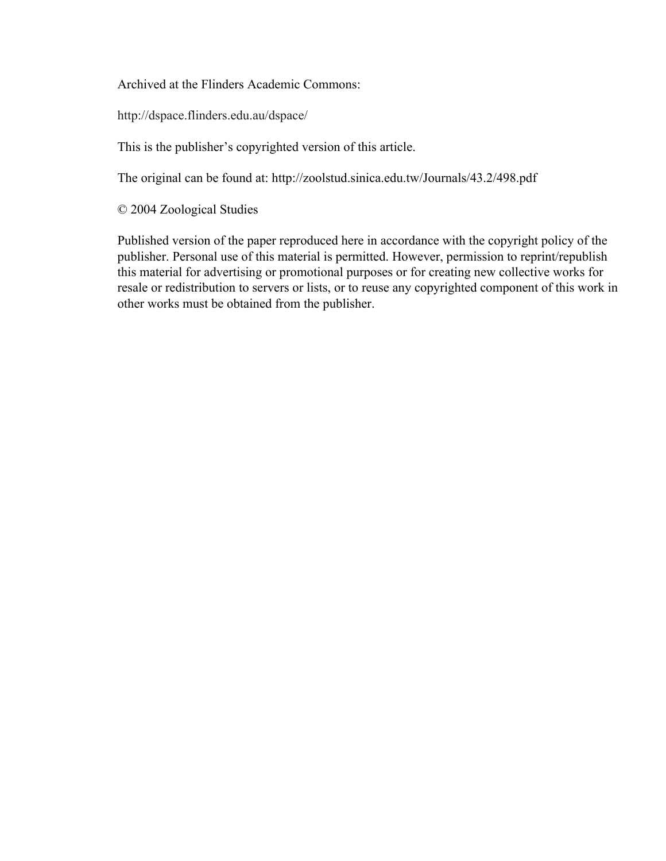Archived at the Flinders Academic Commons:

http://dspace.flinders.edu.au/dspace/

This is the publisher's copyrighted version of this article.

The original can be found at: http://zoolstud.sinica.edu.tw/Journals/43.2/498.pdf

© 2004 Zoological Studies

Published version of the paper reproduced here in accordance with the copyright policy of the publisher. Personal use of this material is permitted. However, permission to reprint/republish this material for advertising or promotional purposes or for creating new collective works for resale or redistribution to servers or lists, or to reuse any copyrighted component of this work in other works must be obtained from the publisher.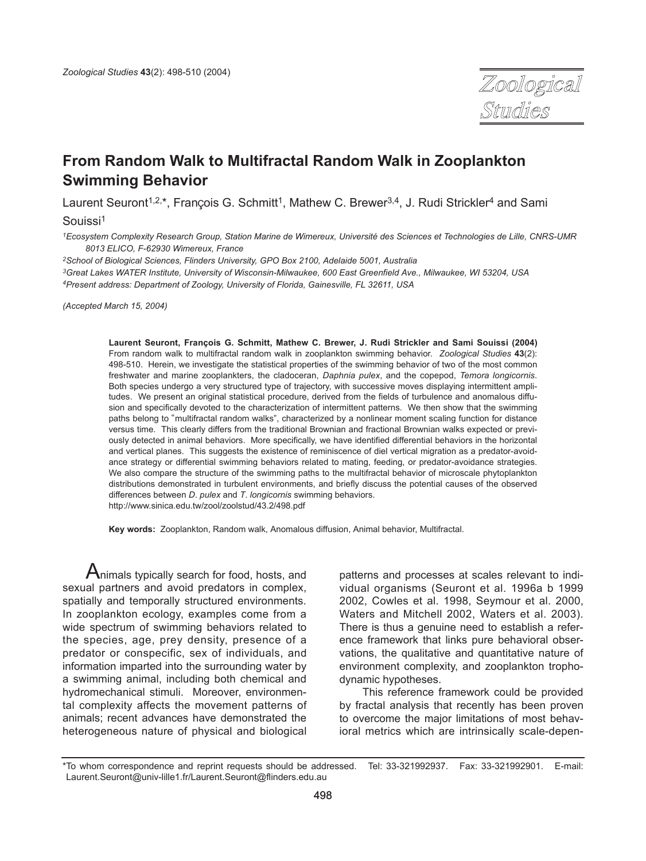

# **From Random Walk to Multifractal Random Walk in Zooplankton Swimming Behavior**

Laurent Seuront<sup>1,2,\*</sup>, Francois G. Schmitt<sup>1</sup>, Mathew C. Brewer<sup>3,4</sup>, J. Rudi Strickler<sup>4</sup> and Sami

Souissi1

*1Ecosystem Complexity Research Group, Station Marine de Wimereux, Université des Sciences et Technologies de Lille, CNRS-UMR 8013 ELICO, F-62930 Wimereux, France* 

*2School of Biological Sciences, Flinders University, GPO Box 2100, Adelaide 5001, Australia*

*3Great Lakes WATER Institute, University of Wisconsin-Milwaukee, 600 East Greenfield Ave., Milwaukee, WI 53204, USA 4Present address: Department of Zoology, University of Florida, Gainesville, FL 32611, USA*

*(Accepted March 15, 2004)*

**Laurent Seuront, François G. Schmitt, Mathew C. Brewer, J. Rudi Strickler and Sami Souissi (2004)** From random walk to multifractal random walk in zooplankton swimming behavior. *Zoological Studies* **43**(2): 498-510. Herein, we investigate the statistical properties of the swimming behavior of two of the most common freshwater and marine zooplankters, the cladoceran, *Daphnia pulex*, and the copepod, *Temora longicornis*. Both species undergo a very structured type of trajectory, with successive moves displaying intermittent amplitudes. We present an original statistical procedure, derived from the fields of turbulence and anomalous diffusion and specifically devoted to the characterization of intermittent patterns. We then show that the swimming paths belong to "multifractal random walks", characterized by a nonlinear moment scaling function for distance versus time. This clearly differs from the traditional Brownian and fractional Brownian walks expected or previously detected in animal behaviors. More specifically, we have identified differential behaviors in the horizontal and vertical planes. This suggests the existence of reminiscence of diel vertical migration as a predator-avoidance strategy or differential swimming behaviors related to mating, feeding, or predator-avoidance strategies. We also compare the structure of the swimming paths to the multifractal behavior of microscale phytoplankton distributions demonstrated in turbulent environments, and briefly discuss the potential causes of the observed differences between *D*. *pulex* and *T*. *longicornis* swimming behaviors. http://www.sinica.edu.tw/zool/zoolstud/43.2/498.pdf

**Key words:** Zooplankton, Random walk, Anomalous diffusion, Animal behavior, Multifractal.

 $A$ nimals typically search for food, hosts, and sexual partners and avoid predators in complex, spatially and temporally structured environments. In zooplankton ecology, examples come from a wide spectrum of swimming behaviors related to the species, age, prey density, presence of a predator or conspecific, sex of individuals, and information imparted into the surrounding water by a swimming animal, including both chemical and hydromechanical stimuli. Moreover, environmental complexity affects the movement patterns of animals; recent advances have demonstrated the heterogeneous nature of physical and biological

patterns and processes at scales relevant to individual organisms (Seuront et al. 1996a b 1999 2002, Cowles et al. 1998, Seymour et al. 2000, Waters and Mitchell 2002, Waters et al. 2003). There is thus a genuine need to establish a reference framework that links pure behavioral observations, the qualitative and quantitative nature of environment complexity, and zooplankton trophodynamic hypotheses.

This reference framework could be provided by fractal analysis that recently has been proven to overcome the major limitations of most behavioral metrics which are intrinsically scale-depen-

<sup>\*</sup>To whom correspondence and reprint requests should be addressed. Tel: 33-321992937. Fax: 33-321992901. E-mail: Laurent.Seuront@univ-lille1.fr/Laurent.Seuront@flinders.edu.au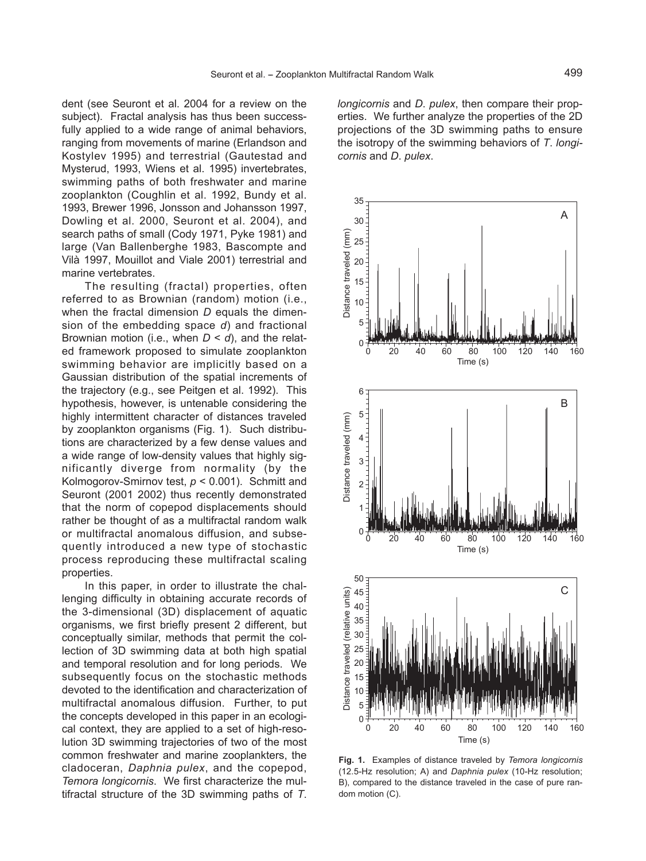dent (see Seuront et al. 2004 for a review on the subject). Fractal analysis has thus been successfully applied to a wide range of animal behaviors, ranging from movements of marine (Erlandson and Kostylev 1995) and terrestrial (Gautestad and Mysterud, 1993, Wiens et al. 1995) invertebrates, swimming paths of both freshwater and marine zooplankton (Coughlin et al. 1992, Bundy et al. 1993, Brewer 1996, Jonsson and Johansson 1997, Dowling et al. 2000, Seuront et al. 2004), and search paths of small (Cody 1971, Pyke 1981) and large (Van Ballenberghe 1983, Bascompte and Vilà 1997, Mouillot and Viale 2001) terrestrial and marine vertebrates.

The resulting (fractal) properties, often referred to as Brownian (random) motion (i.e., when the fractal dimension *D* equals the dimension of the embedding space *d*) and fractional Brownian motion (i.e., when *D* < *d*), and the related framework proposed to simulate zooplankton swimming behavior are implicitly based on a Gaussian distribution of the spatial increments of the trajectory (e.g., see Peitgen et al. 1992). This hypothesis, however, is untenable considering the highly intermittent character of distances traveled by zooplankton organisms (Fig. 1). Such distributions are characterized by a few dense values and a wide range of low-density values that highly significantly diverge from normality (by the Kolmogorov-Smirnov test, *p* < 0.001). Schmitt and Seuront (2001 2002) thus recently demonstrated that the norm of copepod displacements should rather be thought of as a multifractal random walk or multifractal anomalous diffusion, and subsequently introduced a new type of stochastic process reproducing these multifractal scaling properties.

In this paper, in order to illustrate the challenging difficulty in obtaining accurate records of the 3-dimensional (3D) displacement of aquatic organisms, we first briefly present 2 different, but conceptually similar, methods that permit the collection of 3D swimming data at both high spatial and temporal resolution and for long periods. We subsequently focus on the stochastic methods devoted to the identification and characterization of multifractal anomalous diffusion. Further, to put the concepts developed in this paper in an ecological context, they are applied to a set of high-resolution 3D swimming trajectories of two of the most common freshwater and marine zooplankters, the cladoceran, *Daphnia pulex*, and the copepod, *Temora longicornis*. We first characterize the multifractal structure of the 3D swimming paths of *T*. *longicornis* and *D*. *pulex*, then compare their properties. We further analyze the properties of the 2D projections of the 3D swimming paths to ensure the isotropy of the swimming behaviors of *T*. *longicornis* and *D*. *pulex*.



**Fig. 1.** Examples of distance traveled by *Temora longicornis* (12.5-Hz resolution; A) and *Daphnia pulex* (10-Hz resolution; B), compared to the distance traveled in the case of pure random motion (C).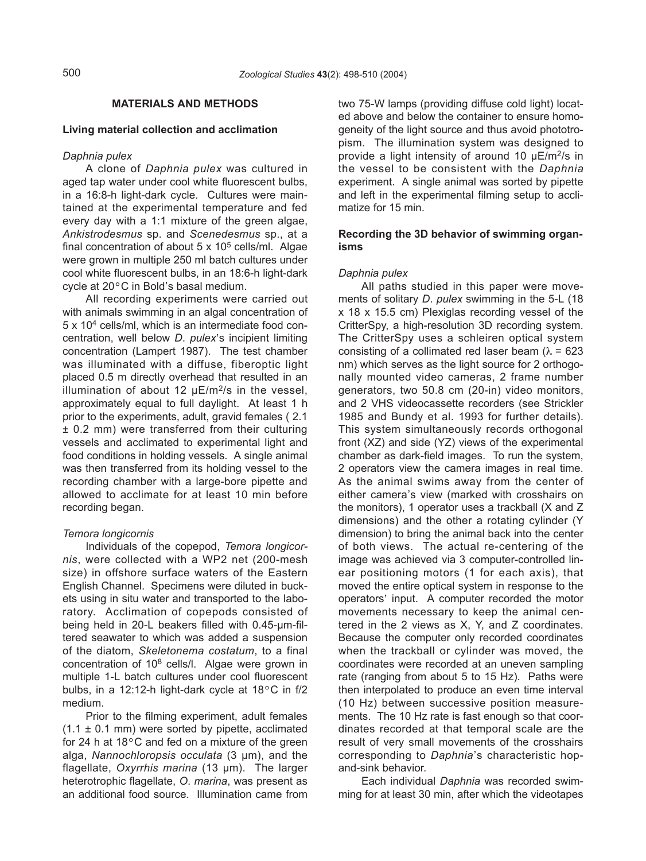# **MATERIALS AND METHODS**

# **Living material collection and acclimation**

# *Daphnia pulex*

A clone of *Daphnia pulex* was cultured in aged tap water under cool white fluorescent bulbs, in a 16:8-h light-dark cycle. Cultures were maintained at the experimental temperature and fed every day with a 1:1 mixture of the green algae, *Ankistrodesmus* sp. and *Scenedesmus* sp., at a final concentration of about  $5 \times 10^5$  cells/ml. Algae were grown in multiple 250 ml batch cultures under cool white fluorescent bulbs, in an 18:6-h light-dark cycle at 20°C in Bold's basal medium.<br>All recording experiments were

All recording experiments were carried out with animals swimming in an algal concentration of 5 x 104 cells/ml, which is an intermediate food concentration, well below *D*. *pulex*, s incipient limiting concentration (Lampert 1987). The test chamber was illuminated with a diffuse, fiberoptic light placed 0.5 m directly overhead that resulted in an illumination of about 12  $\mu$ E/m<sup>2</sup>/s in the vessel. approximately equal to full daylight. At least 1 h prior to the experiments, adult, gravid females ( 2.1 ± 0.2 mm) were transferred from their culturing vessels and acclimated to experimental light and food conditions in holding vessels. A single animal was then transferred from its holding vessel to the recording chamber with a large-bore pipette and allowed to acclimate for at least 10 min before recording began.

# *Temora longicornis*

Individuals of the copepod, *Temora longicornis*, were collected with a WP2 net (200-mesh size) in offshore surface waters of the Eastern English Channel. Specimens were diluted in buckets using in situ water and transported to the laboratory. Acclimation of copepods consisted of being held in 20-L beakers filled with 0.45-µm-filtered seawater to which was added a suspension of the diatom, *Skeletonema costatum*, to a final concentration of 108 cells/l. Algae were grown in multiple 1-L batch cultures under cool fluorescent bulbs, in a 12:12-h light-dark cycle at 18°C in f/2 medium.

Prior to the filming experiment, adult females  $(1.1 \pm 0.1 \text{ mm})$  were sorted by pipette, acclimated for 24 h at 18°C and fed on a mixture of the green alga, *Nannochloropsis occulata* (3 µm), and the flagellate, *Oxyrrhis marina* (13 µm). The larger heterotrophic flagellate, *O*. *marina*, was present as an additional food source. Illumination came from two 75-W lamps (providing diffuse cold light) located above and below the container to ensure homogeneity of the light source and thus avoid phototropism. The illumination system was designed to provide a light intensity of around 10 µE/m2/s in the vessel to be consistent with the *Daphnia* experiment. A single animal was sorted by pipette and left in the experimental filming setup to acclimatize for 15 min.

# **Recording the 3D behavior of swimming organisms**

# *Daphnia pulex*

All paths studied in this paper were movements of solitary *D*. *pulex* swimming in the 5-L (18 x 18 x 15.5 cm) Plexiglas recording vessel of the CritterSpy, a high-resolution 3D recording system. The CritterSpy uses a schleiren optical system consisting of a collimated red laser beam ( $\lambda$  = 623 nm) which serves as the light source for 2 orthogonally mounted video cameras, 2 frame number generators, two 50.8 cm (20-in) video monitors, and 2 VHS videocassette recorders (see Strickler 1985 and Bundy et al. 1993 for further details). This system simultaneously records orthogonal front (XZ) and side (YZ) views of the experimental chamber as dark-field images. To run the system, 2 operators view the camera images in real time. As the animal swims away from the center of As the animal swills away from the center of either camera's view (marked with crosshairs on the monitors), 1 operator uses a trackball (X and Z dimensions) and the other a rotating cylinder (Y dimension) to bring the animal back into the center of both views. The actual re-centering of the image was achieved via 3 computer-controlled linear positioning motors (1 for each axis), that moved the entire optical system in response to the operators' input. A computer recorded the motor movements necessary to keep the animal centered in the 2 views as X, Y, and Z coordinates. Because the computer only recorded coordinates when the trackball or cylinder was moved, the coordinates were recorded at an uneven sampling rate (ranging from about 5 to 15 Hz). Paths were then interpolated to produce an even time interval (10 Hz) between successive position measurements. The 10 Hz rate is fast enough so that coordinates recorded at that temporal scale are the result of very small movements of the crosshairs corresponding to *Daphnia*'s characteristic hopand-sink behavior.

Each individual *Daphnia* was recorded swimming for at least 30 min, after which the videotapes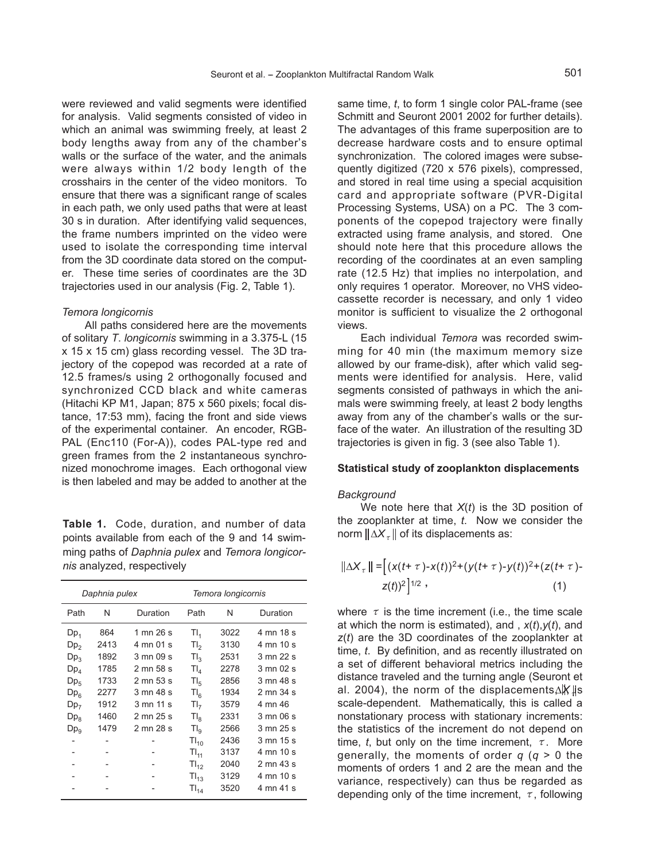were reviewed and valid segments were identified for analysis. Valid segments consisted of video in which an animal was swimming freely, at least 2 which an animal was swimming freely, at least 2<br>body lengths away from any of the chamber's walls or the surface of the water, and the animals were always within 1/2 body length of the crosshairs in the center of the video monitors. To ensure that there was a significant range of scales in each path, we only used paths that were at least 30 s in duration. After identifying valid sequences, the frame numbers imprinted on the video were used to isolate the corresponding time interval from the 3D coordinate data stored on the computer. These time series of coordinates are the 3D trajectories used in our analysis (Fig. 2, Table 1).

#### *Temora longicornis*

All paths considered here are the movements of solitary *T*. *longicornis* swimming in a 3.375-L (15 x 15 x 15 cm) glass recording vessel. The 3D trajectory of the copepod was recorded at a rate of 12.5 frames/s using 2 orthogonally focused and synchronized CCD black and white cameras (Hitachi KP M1, Japan; 875 x 560 pixels; focal distance, 17:53 mm), facing the front and side views of the experimental container. An encoder, RGB-PAL (Enc110 (For-A)), codes PAL-type red and green frames from the 2 instantaneous synchronized monochrome images. Each orthogonal view is then labeled and may be added to another at the

**Table 1.** Code, duration, and number of data points available from each of the 9 and 14 swimming paths of *Daphnia pulex* and *Temora longicornis* analyzed, respectively

| Daphnia pulex   |      |                              | Temora longicornis |      |                     |
|-----------------|------|------------------------------|--------------------|------|---------------------|
| Path            | N    | Duration                     | Path               | N    | Duration            |
| $Dp_1$          | 864  | 1 mn 26 s                    | $Tl_{1}$           | 3022 | 4 mn 18 s           |
| Dp <sub>2</sub> | 2413 | 4 mn 01 s                    | $T_{2}$            | 3130 | 4 mn 10 s           |
| $Dp_3$          | 1892 | 3 mn 09 s                    | Tl <sub>2</sub>    | 2531 | 3 mn 22 s           |
| $Dp_4$          | 1785 | 2 mn 58 s                    | $TI_{4}$           | 2278 | $3 \text{ mm}$ 02 s |
| $Dp_{5}$        | 1733 | 2 mn 53 s                    | $Tl_{5}$           | 2856 | 3 mn 48 s           |
| Dp <sub>6</sub> | 2277 | $3 \text{ mm } 48 \text{ s}$ | TI <sub>6</sub>    | 1934 | 2 mn 34 s           |
| Dp <sub>7</sub> | 1912 | $3 \text{ mm} 11 \text{ s}$  | TI <sub>7</sub>    | 3579 | 4 mn 46             |
| $Dp_8$          | 1460 | 2 mn 25 s                    | $TI_{\rm R}$       | 2331 | 3 mn 06 s           |
| $Dp_{9}$        | 1479 | 2 mn 28 s                    | TI <sub>9</sub>    | 2566 | 3 mn 25 s           |
|                 |      |                              | $TI_{10}$          | 2436 | 3 mn 15 s           |
|                 |      |                              | $TL_{11}$          | 3137 | 4 mn 10 s           |
|                 |      |                              | $TI_{12}$          | 2040 | 2 mn 43 s           |
|                 |      |                              | $TI_{13}$          | 3129 | 4 mn 10 s           |
|                 |      |                              | $Tl_{14}$          | 3520 | 4 mn 41 s           |

same time, *t*, to form 1 single color PAL-frame (see Schmitt and Seuront 2001 2002 for further details). The advantages of this frame superposition are to decrease hardware costs and to ensure optimal synchronization. The colored images were subsequently digitized (720 x 576 pixels), compressed, and stored in real time using a special acquisition card and appropriate software (PVR-Digital Processing Systems, USA) on a PC. The 3 components of the copepod trajectory were finally extracted using frame analysis, and stored. One should note here that this procedure allows the recording of the coordinates at an even sampling rate (12.5 Hz) that implies no interpolation, and only requires 1 operator. Moreover, no VHS videocassette recorder is necessary, and only 1 video monitor is sufficient to visualize the 2 orthogonal views.

Each individual *Temora* was recorded swimming for 40 min (the maximum memory size allowed by our frame-disk), after which valid segments were identified for analysis. Here, valid segments consisted of pathways in which the animals were swimming freely, at least 2 body lengths mals were swimming neery, at least 2 body lengths<br>away from any of the chamber's walls or the surface of the water. An illustration of the resulting 3D trajectories is given in fig. 3 (see also Table 1).

## **Statistical study of zooplankton displacements**

#### *Background*

We note here that *X*(*t*) is the 3D position of the zooplankter at time, *t*. Now we consider the norm  $\|\Delta X_{\tau}\|$  of its displacements as:

$$
\|\Delta X_{\tau}\| = \left[ (x(t+\tau) - x(t))^2 + (y(t+\tau) - y(t))^2 + (z(t+\tau) - z(t))^2 \right]^{1/2},
$$
\n(1)

where  $\tau$  is the time increment (i.e., the time scale at which the norm is estimated), and , *x*(*t*),*y*(*t*), and *z*(*t*) are the 3D coordinates of the zooplankter at time, *t*. By definition, and as recently illustrated on a set of different behavioral metrics including the distance traveled and the turning angle (Seuront et al. 2004), the norm of the displacements∆*X* µs scale-dependent. Mathematically, this is called a nonstationary process with stationary increments: the statistics of the increment do not depend on time, *t*, but only on the time increment,  $\tau$ . More generally, the moments of order *q* (*q* > 0 the moments of orders 1 and 2 are the mean and the variance, respectively) can thus be regarded as depending only of the time increment,  $\tau$ , following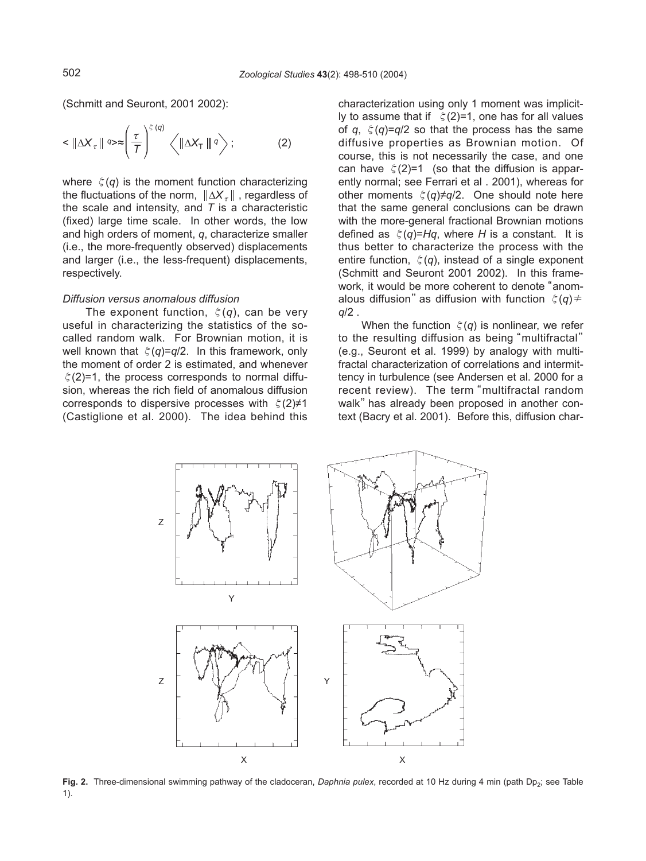(Schmitt and Seuront, 2001 2002):

$$
\langle \|\Delta X_{\tau}\| \exp\left(\frac{\tau}{T}\right)^{\xi(q)} \langle \|\Delta X_{\tau}\| \, q \rangle ; \tag{2}
$$

where  $\xi(q)$  is the moment function characterizing the fluctuations of the norm,  $||\Delta X_{\tau}||$ , regardless of the scale and intensity, and *T* is a characteristic (fixed) large time scale. In other words, the low and high orders of moment, *q*, characterize smaller (i.e., the more-frequently observed) displacements and larger (i.e., the less-frequent) displacements, respectively.

## *Diffusion versus anomalous diffusion*

The exponent function, ζ(*q*), can be very useful in characterizing the statistics of the socalled random walk. For Brownian motion, it is well known that ζ(*q*)=*q*/2. In this framework, only the moment of order 2 is estimated, and whenever  $\xi(2)=1$ , the process corresponds to normal diffusion, whereas the rich field of anomalous diffusion corresponds to dispersive processes with  $\zeta(2)\neq 1$ (Castiglione et al. 2000). The idea behind this

characterization using only 1 moment was implicitly to assume that if  $\zeta(2)=1$ , one has for all values of *q*, ζ(*q*)=*q*/2 so that the process has the same diffusive properties as Brownian motion. Of course, this is not necessarily the case, and one can have  $\zeta(2)=1$  (so that the diffusion is apparently normal; see Ferrari et al . 2001), whereas for other moments ζ(*q*)≠*q*/2. One should note here that the same general conclusions can be drawn with the more-general fractional Brownian motions defined as  $\xi(q)$ =*Hq*, where *H* is a constant. It is thus better to characterize the process with the entire function,  $\xi(q)$ , instead of a single exponent (Schmitt and Seuront 2001 2002). In this framework, it would be more coherent to denote "anomalous diffusion" as diffusion with function  $\zeta(q)$   $\neq$ *q*/2 .

When the function  $\xi(q)$  is nonlinear, we refer to the resulting diffusion as being "multifractal" (e.g., Seuront et al. 1999) by analogy with multifractal characterization of correlations and intermittency in turbulence (see Andersen et al. 2000 for a recent review). The term"multifractal random walk" has already been proposed in another context (Bacry et al. 2001). Before this, diffusion char-



Fig. 2. Three-dimensional swimming pathway of the cladoceran, *Daphnia pulex*, recorded at 10 Hz during 4 min (path Dp<sub>2</sub>; see Table 1).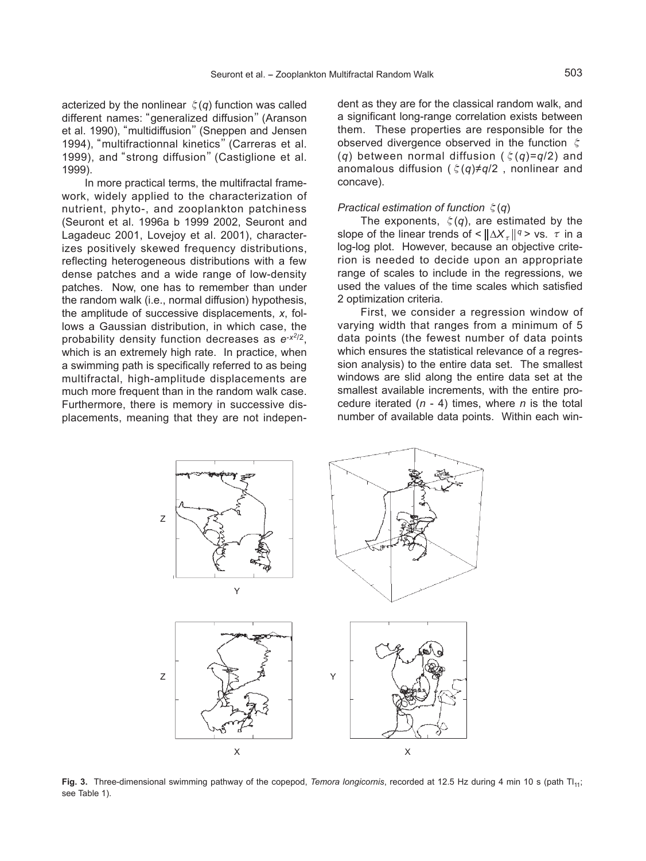acterized by the nonlinear  $\xi(q)$  function was called different names:"generalized diffusion"(Aranson et al. 1990), "multidiffusion" (Sneppen and Jensen 1994), "multifractionnal kinetics" (Carreras et al. 1999), and"strong diffusion"(Castiglione et al. 1999).

In more practical terms, the multifractal framework, widely applied to the characterization of nutrient, phyto-, and zooplankton patchiness (Seuront et al. 1996a b 1999 2002, Seuront and Lagadeuc 2001, Lovejoy et al. 2001), characterizes positively skewed frequency distributions, reflecting heterogeneous distributions with a few dense patches and a wide range of low-density patches. Now, one has to remember than under the random walk (i.e., normal diffusion) hypothesis, the amplitude of successive displacements, *x*, follows a Gaussian distribution, in which case, the probability density function decreases as *e*-*x<sup>2</sup>*/2, which is an extremely high rate. In practice, when a swimming path is specifically referred to as being multifractal, high-amplitude displacements are much more frequent than in the random walk case. Furthermore, there is memory in successive displacements, meaning that they are not independent as they are for the classical random walk, and a significant long-range correlation exists between them. These properties are responsible for the observed divergence observed in the function ζ (*q*) between normal diffusion (ζ(*q*)=*q*/2) and anomalous diffusion (ζ(*q*)≠*q*/2 , nonlinear and concave).

#### *Practical estimation of function* ζ(*q*)

The exponents, ζ(*q*), are estimated by the slope of the linear trends of <  $\|\Delta X_{\tau}\|^{q}$  > vs.  $\tau$  in a log-log plot. However, because an objective criterion is needed to decide upon an appropriate range of scales to include in the regressions, we used the values of the time scales which satisfied 2 optimization criteria.

First, we consider a regression window of varying width that ranges from a minimum of 5 data points (the fewest number of data points which ensures the statistical relevance of a regression analysis) to the entire data set. The smallest windows are slid along the entire data set at the smallest available increments, with the entire procedure iterated (*n* - 4) times, where *n* is the total number of available data points. Within each win-



Fig. 3. Three-dimensional swimming pathway of the copepod, *Temora longicornis*, recorded at 12.5 Hz during 4 min 10 s (path Tl<sub>11</sub>; see Table 1).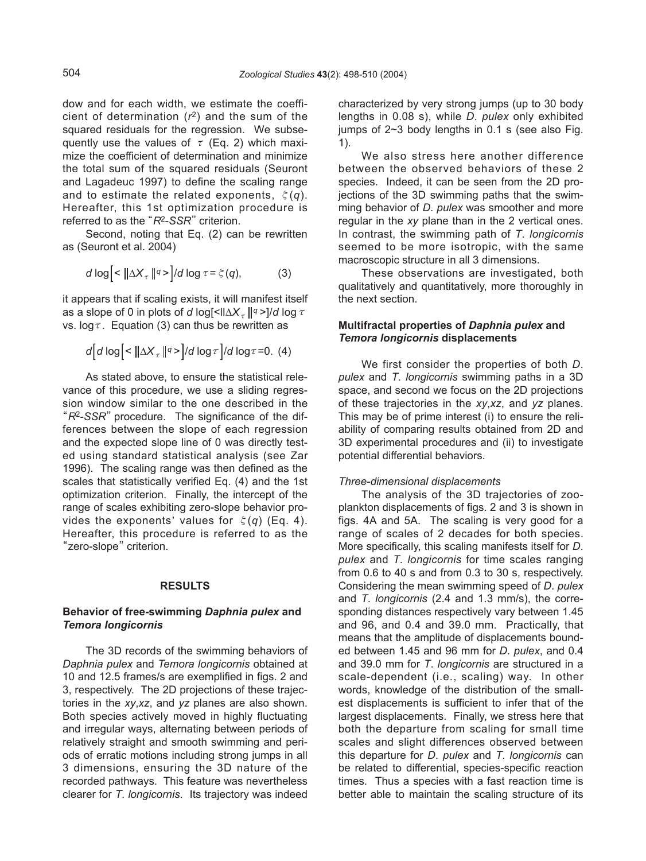dow and for each width, we estimate the coefficient of determination (*r*2) and the sum of the squared residuals for the regression. We subsequently use the values of  $\tau$  (Eq. 2) which maximize the coefficient of determination and minimize the total sum of the squared residuals (Seuront and Lagadeuc 1997) to define the scaling range and to estimate the related exponents, ζ(*q*). Hereafter, this 1st optimization procedure is referred to as the "R<sup>2</sup>-SSR" criterion.

Second, noting that Eq. (2) can be rewritten as (Seuront et al. 2004)

$$
d \log \left[ \left( \frac{\log \left( \left( \frac{\pi}{2} \right) \right)}{\pi} \right) / d \log \tau = \xi(q), \tag{3}
$$

it appears that if scaling exists, it will manifest itself as a slope of 0 in plots of *d* log[<ll $\Delta X$ <sub>τ</sub> ||q >]/*d* log  $\tau$ vs.  $\log \tau$ . Equation (3) can thus be rewritten as

$$
d\left[d\log\left|\langle\alpha\right|\Delta X_{\tau}\right|^{q} > |d\log\tau|/d\log\tau = 0. \tag{4}
$$

As stated above, to ensure the statistical relevance of this procedure, we use a sliding regression window similar to the one described in the "*R*2-*SSR*"procedure. The significance of the differences between the slope of each regression and the expected slope line of 0 was directly tested using standard statistical analysis (see Zar 1996). The scaling range was then defined as the scales that statistically verified Eq. (4) and the 1st optimization criterion. Finally, the intercept of the range of scales exhibiting zero-slope behavior provides the exponents' values for  $\xi(q)$  (Eq. 4). Hereafter, this procedure is referred to as the "zero-slope" criterion.

#### **RESULTS**

# **Behavior of free-swimming** *Daphnia pulex* **and** *Temora longicornis*

The 3D records of the swimming behaviors of *Daphnia pulex* and *Temora longicornis* obtained at 10 and 12.5 frames/s are exemplified in figs. 2 and 3, respectively. The 2D projections of these trajectories in the *xy*,*xz*, and *yz* planes are also shown. Both species actively moved in highly fluctuating and irregular ways, alternating between periods of relatively straight and smooth swimming and periods of erratic motions including strong jumps in all 3 dimensions, ensuring the 3D nature of the recorded pathways. This feature was nevertheless clearer for *T*. *longicornis*. Its trajectory was indeed

characterized by very strong jumps (up to 30 body lengths in 0.08 s), while *D*. *pulex* only exhibited jumps of  $2~3$  body lengths in 0.1 s (see also Fig. 1).

We also stress here another difference between the observed behaviors of these 2 species. Indeed, it can be seen from the 2D projections of the 3D swimming paths that the swimming behavior of *D*. *pulex* was smoother and more regular in the *xy* plane than in the 2 vertical ones. In contrast, the swimming path of *T*. *longicornis* seemed to be more isotropic, with the same macroscopic structure in all 3 dimensions.

These observations are investigated, both qualitatively and quantitatively, more thoroughly in the next section.

# **Multifractal properties of** *Daphnia pulex* **and** *Temora longicornis* **displacements**

We first consider the properties of both *D*. *pulex* and *T*. *longicornis* swimming paths in a 3D space, and second we focus on the 2D projections of these trajectories in the *xy*,*xz*, and *yz* planes. This may be of prime interest (i) to ensure the reliability of comparing results obtained from 2D and 3D experimental procedures and (ii) to investigate potential differential behaviors.

# *Three-dimensional displacements*

The analysis of the 3D trajectories of zooplankton displacements of figs. 2 and 3 is shown in figs. 4A and 5A. The scaling is very good for a range of scales of 2 decades for both species. More specifically, this scaling manifests itself for *D*. *pulex* and *T*. *longicornis* for time scales ranging from 0.6 to 40 s and from 0.3 to 30 s, respectively. Considering the mean swimming speed of *D*. *pulex* and *T*. *longicornis* (2.4 and 1.3 mm/s), the corresponding distances respectively vary between 1.45 and 96, and 0.4 and 39.0 mm. Practically, that means that the amplitude of displacements bounded between 1.45 and 96 mm for *D*. *pulex*, and 0.4 and 39.0 mm for *T*. *longicornis* are structured in a scale-dependent (i.e., scaling) way. In other words, knowledge of the distribution of the smallest displacements is sufficient to infer that of the largest displacements. Finally, we stress here that both the departure from scaling for small time scales and slight differences observed between this departure for *D*. *pulex* and *T*. *longicornis* can be related to differential, species-specific reaction times. Thus a species with a fast reaction time is better able to maintain the scaling structure of its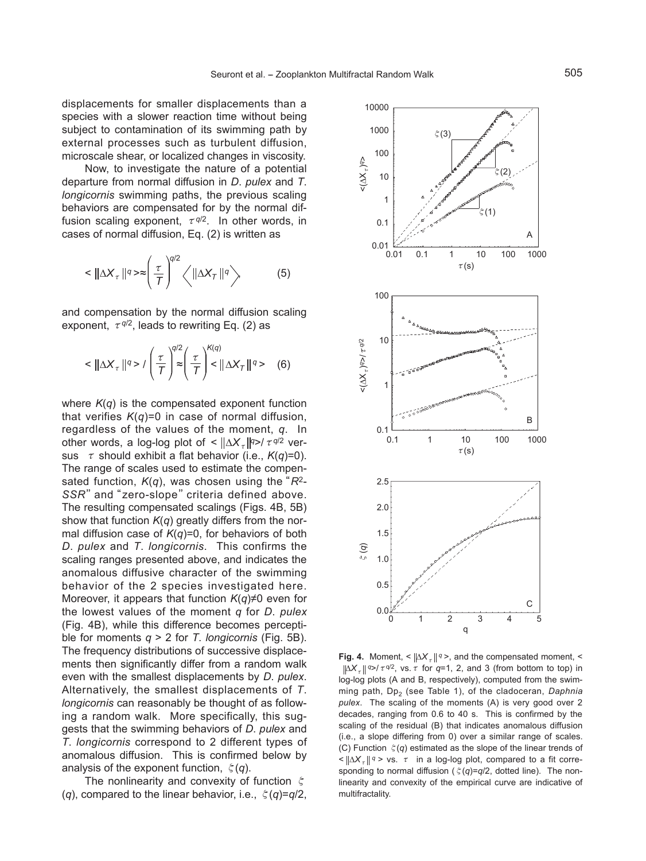displacements for smaller displacements than a species with a slower reaction time without being subject to contamination of its swimming path by external processes such as turbulent diffusion, microscale shear, or localized changes in viscosity.

Now, to investigate the nature of a potential departure from normal diffusion in *D*. *pulex* and *T*. *longicornis* swimming paths, the previous scaling behaviors are compensated for by the normal diffusion scaling exponent, τ*<sup>q</sup>*/2. In other words, in cases of normal diffusion, Eq. (2) is written as

$$
\langle \|\Delta X_{\tau}\|^{q} \rangle \approx \left(\frac{\tau}{T}\right)^{q/2} \left\langle \|\Delta X_{\tau}\|^{q} \right\rangle \tag{5}
$$

and compensation by the normal diffusion scaling exponent,  $\tau q/2$ , leads to rewriting Eq. (2) as

$$
\langle \|\Delta X_{\tau}\|^{q} > I\left(\frac{\tau}{T}\right)^{q/2} \left(\frac{\tau}{T}\right)^{K(q)} < \|\Delta X_{\tau}\|^{q} > \quad (6)
$$

where  $K(q)$  is the compensated exponent function that verifies *K*(*q*)=0 in case of normal diffusion, regardless of the values of the moment, *q*. In other words, a log-log plot of <  $\|\Delta X_{\tau}\|^{q}$  /  $\tau^{q/2}$  versus  $\tau$  should exhibit a flat behavior (i.e.,  $K(q)=0$ ). The range of scales used to estimate the compensated function, *K*(*q*), was chosen using the"*R*2- SSR" and "zero-slope" criteria defined above. The resulting compensated scalings (Figs. 4B, 5B) show that function *K*(*q*) greatly differs from the normal diffusion case of *K*(*q*)=0, for behaviors of both *D*. *pulex* and *T*. *longicornis*. This confirms the scaling ranges presented above, and indicates the anomalous diffusive character of the swimming behavior of the 2 species investigated here. Moreover, it appears that function *K*(*q*)≠0 even for the lowest values of the moment *q* for *D*. *pulex* (Fig. 4B), while this difference becomes perceptible for moments *q* > 2 for *T*. *longicornis* (Fig. 5B). The frequency distributions of successive displacements then significantly differ from a random walk even with the smallest displacements by *D*. *pulex*. Alternatively, the smallest displacements of *T*. *longicornis* can reasonably be thought of as following a random walk. More specifically, this suggests that the swimming behaviors of *D*. *pulex* and *T*. *longicornis* correspond to 2 different types of anomalous diffusion. This is confirmed below by analysis of the exponent function, ζ(*q*).

The nonlinearity and convexity of function ζ (*q*), compared to the linear behavior, i.e., ζ(*q*)=*q*/2,



**Fig. 4.** Moment, <  $\|\Delta X_{\tau}\|$ <sup>*q*</sup> >, and the compensated moment, <  $\|\Delta X_{\tau}\|$  *q>/* $\tau$  *q*<sup>2</sup>, vs.  $\tau$  for *q*=1, 2, and 3 (from bottom to top) in log-log plots (A and B, respectively), computed from the swimming path, Dp<sub>2</sub> (see Table 1), of the cladoceran, *Daphnia pulex*. The scaling of the moments (A) is very good over 2 decades, ranging from 0.6 to 40 s. This is confirmed by the scaling of the residual (B) that indicates anomalous diffusion (i.e., a slope differing from 0) over a similar range of scales. (C) Function ζ(*q*) estimated as the slope of the linear trends of  $\leq \frac{\Delta X}{\epsilon}$  *q* > vs.  $\tau$  in a log-log plot, compared to a fit corresponding to normal diffusion (ζ(*q*)=*q*/2, dotted line). The nonlinearity and convexity of the empirical curve are indicative of multifractality.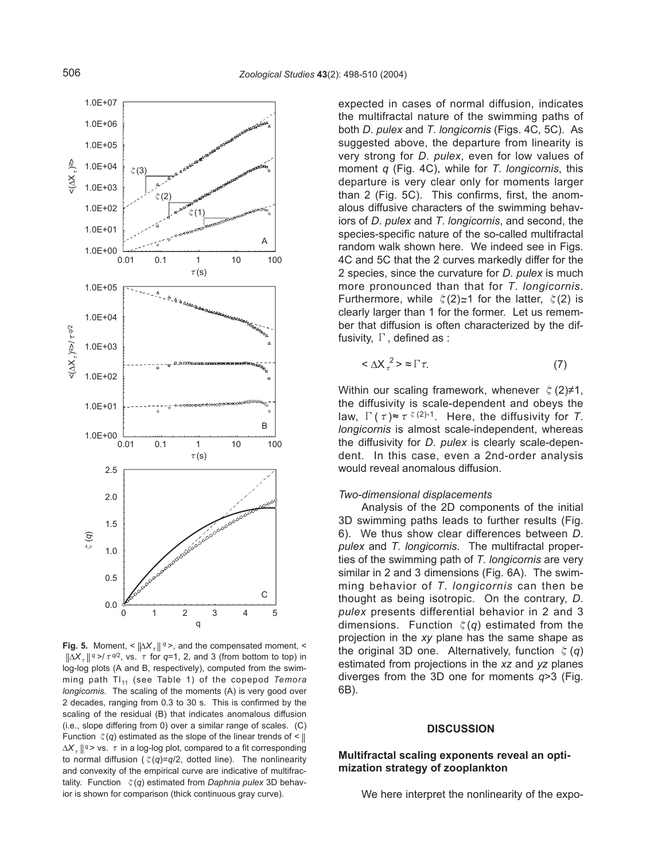

**Fig. 5.** Moment, <  $|\Delta X_{\tau}||^q$  >, and the compensated moment, <  $\|\Delta X_{\tau}\|$ <sup>*q*</sup> >/  $\tau$ <sup>*q*/2</sup>, vs.  $\tau$  for *q*=1, 2, and 3 (from bottom to top) in log-log plots (A and B, respectively), computed from the swimming path Tl<sub>11</sub> (see Table 1) of the copepod *Temora longicornis*. The scaling of the moments (A) is very good over 2 decades, ranging from 0.3 to 30 s. This is confirmed by the scaling of the residual (B) that indicates anomalous diffusion (i.e., slope differing from 0) over a similar range of scales. (C) Function  $\zeta(q)$  estimated as the slope of the linear trends of  $\leq$  ||  $\Delta X_{\tau}$  ||<sup>*q*</sup> > vs. τ in a log-log plot, compared to a fit corresponding to normal diffusion (ζ(*q*)=*q*/2, dotted line). The nonlinearity and convexity of the empirical curve are indicative of multifractality. Function ζ(*q*) estimated from *Daphnia pulex* 3D behavior is shown for comparison (thick continuous gray curve).

expected in cases of normal diffusion, indicates the multifractal nature of the swimming paths of both *D*. *pulex* and *T*. *longicornis* (Figs. 4C, 5C). As suggested above, the departure from linearity is very strong for *D*. *pulex*, even for low values of moment *q* (Fig. 4C), while for *T*. *longicornis*, this departure is very clear only for moments larger than 2 (Fig. 5C). This confirms, first, the anomalous diffusive characters of the swimming behaviors of *D*. *pulex* and *T*. *longicornis*, and second, the species-specific nature of the so-called multifractal random walk shown here. We indeed see in Figs. 4C and 5C that the 2 curves markedly differ for the 2 species, since the curvature for *D*. *pulex* is much more pronounced than that for *T*. *longicornis*. Furthermore, while  $\xi(2) \approx 1$  for the latter,  $\xi(2)$  is clearly larger than 1 for the former. Let us remember that diffusion is often characterized by the diffusivity, Γ, defined as :

$$
\langle \Delta X_{\tau}^{2} \rangle \approx \Gamma \tau. \tag{7}
$$

Within our scaling framework, whenever  $\zeta(2)\neq 1$ , the diffusivity is scale-dependent and obeys the law,  $\Gamma(\tau) \approx \tau^{\xi(2)-1}$ . Here, the diffusivity for *T*. *longicornis* is almost scale-independent, whereas the diffusivity for *D*. *pulex* is clearly scale-dependent. In this case, even a 2nd-order analysis would reveal anomalous diffusion.

#### *Two-dimensional displacements*

Analysis of the 2D components of the initial 3D swimming paths leads to further results (Fig. 6). We thus show clear differences between *D*. *pulex* and *T*. *longicornis*. The multifractal properties of the swimming path of *T*. *longicornis* are very similar in 2 and 3 dimensions (Fig. 6A). The swimming behavior of *T*. *longicornis* can then be thought as being isotropic. On the contrary, *D*. *pulex* presents differential behavior in 2 and 3 dimensions. Function ζ(*q*) estimated from the projection in the *xy* plane has the same shape as the original 3D one. Alternatively, function ζ(*q*) estimated from projections in the *xz* and *yz* planes diverges from the 3D one for moments *q*>3 (Fig. 6B).

## **DISCUSSION**

# **Multifractal scaling exponents reveal an optimization strategy of zooplankton**

We here interpret the nonlinearity of the expo-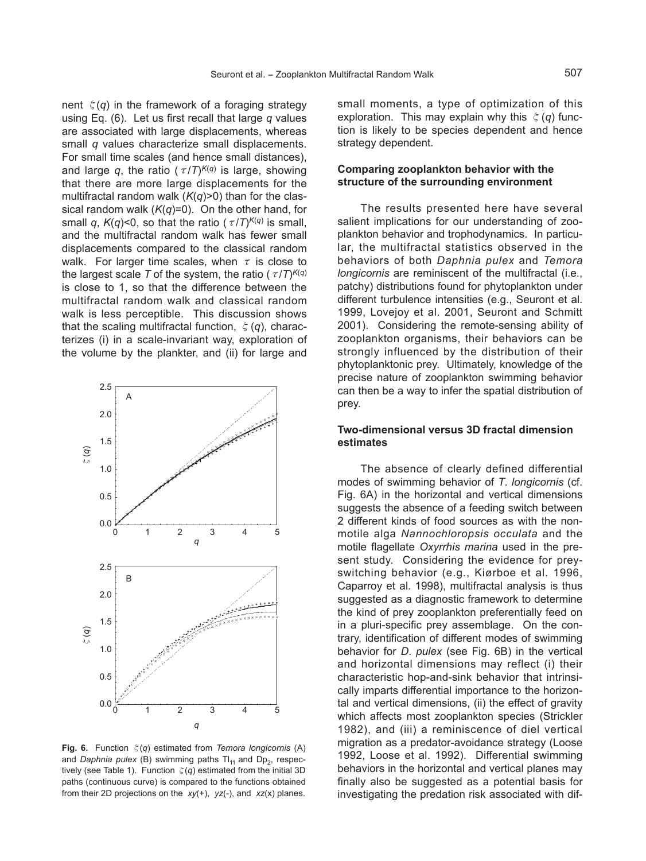nent  $\xi(q)$  in the framework of a foraging strategy using Eq. (6). Let us first recall that large *q* values are associated with large displacements, whereas small *q* values characterize small displacements. For small time scales (and hence small distances), and large *q*, the ratio ( $\tau/T$ )<sup> $K(q)$ </sup> is large, showing that there are more large displacements for the multifractal random walk (*K*(*q*)>0) than for the classical random walk (*K*(*q*)=0). On the other hand, for small *q*,  $K(q)$ <0, so that the ratio ( $\tau/T$ <sup> $K(q)$ </sup> is small, and the multifractal random walk has fewer small displacements compared to the classical random walk. For larger time scales, when  $\tau$  is close to the largest scale *T* of the system, the ratio ( $\tau/T$ <sup> $K(q)$ </sup>) is close to 1, so that the difference between the multifractal random walk and classical random walk is less perceptible. This discussion shows that the scaling multifractal function, ζ(*q*), characterizes (i) in a scale-invariant way, exploration of the volume by the plankter, and (ii) for large and



**Fig. 6.** Function ζ(*q*) estimated from *Temora longicornis* (A) and *Daphnia pulex* (B) swimming paths  $TI_{11}$  and  $Dp_2$ , respectively (see Table 1). Function  $\zeta(q)$  estimated from the initial 3D paths (continuous curve) is compared to the functions obtained from their 2D projections on the *xy*(+), *yz*(-), and *xz*(x) planes.

small moments, a type of optimization of this exploration. This may explain why this ζ(*q*) function is likely to be species dependent and hence strategy dependent.

# **Comparing zooplankton behavior with the structure of the surrounding environment**

The results presented here have several salient implications for our understanding of zooplankton behavior and trophodynamics. In particular, the multifractal statistics observed in the behaviors of both *Daphnia pulex* and *Temora longicornis* are reminiscent of the multifractal (i.e., patchy) distributions found for phytoplankton under different turbulence intensities (e.g., Seuront et al. 1999, Lovejoy et al. 2001, Seuront and Schmitt 2001). Considering the remote-sensing ability of zooplankton organisms, their behaviors can be strongly influenced by the distribution of their phytoplanktonic prey. Ultimately, knowledge of the precise nature of zooplankton swimming behavior can then be a way to infer the spatial distribution of prey.

# **Two-dimensional versus 3D fractal dimension estimates**

The absence of clearly defined differential modes of swimming behavior of *T*. *longicornis* (cf. Fig. 6A) in the horizontal and vertical dimensions suggests the absence of a feeding switch between 2 different kinds of food sources as with the nonmotile alga *Nannochloropsis occulata* and the motile flagellate *Oxyrrhis marina* used in the present study. Considering the evidence for preyswitching behavior (e.g., Kiørboe et al. 1996, Caparroy et al. 1998), multifractal analysis is thus suggested as a diagnostic framework to determine the kind of prey zooplankton preferentially feed on in a pluri-specific prey assemblage. On the contrary, identification of different modes of swimming behavior for *D*. *pulex* (see Fig. 6B) in the vertical and horizontal dimensions may reflect (i) their characteristic hop-and-sink behavior that intrinsically imparts differential importance to the horizontal and vertical dimensions, (ii) the effect of gravity which affects most zooplankton species (Strickler 1982), and (iii) a reminiscence of diel vertical migration as a predator-avoidance strategy (Loose 1992, Loose et al. 1992). Differential swimming behaviors in the horizontal and vertical planes may finally also be suggested as a potential basis for investigating the predation risk associated with dif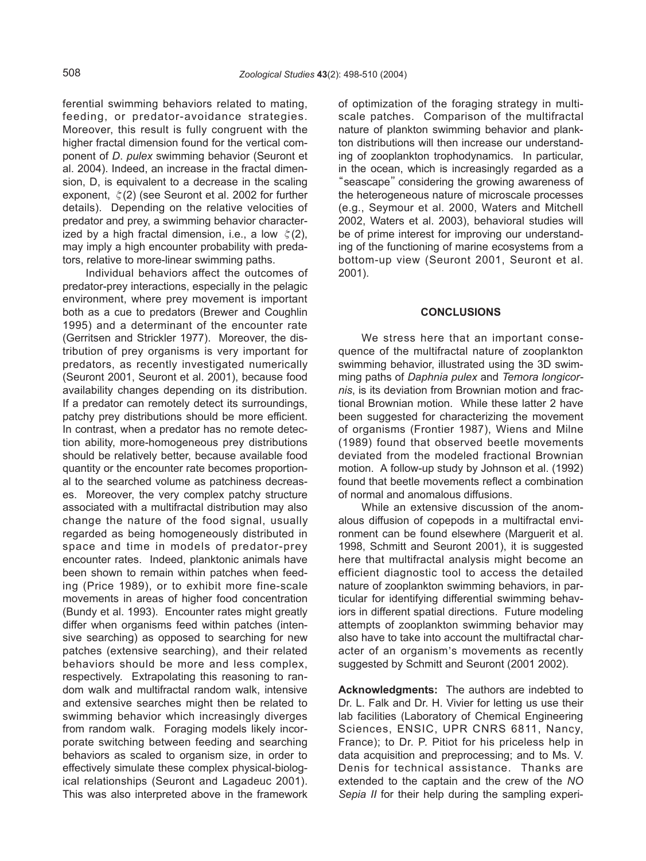ferential swimming behaviors related to mating, feeding, or predator-avoidance strategies. Moreover, this result is fully congruent with the higher fractal dimension found for the vertical component of *D*. *pulex* swimming behavior (Seuront et al. 2004). Indeed, an increase in the fractal dimension, D, is equivalent to a decrease in the scaling exponent,  $\zeta(2)$  (see Seuront et al. 2002 for further details). Depending on the relative velocities of predator and prey, a swimming behavior characterized by a high fractal dimension, i.e., a low  $\xi(2)$ , may imply a high encounter probability with predators, relative to more-linear swimming paths.

Individual behaviors affect the outcomes of predator-prey interactions, especially in the pelagic environment, where prey movement is important both as a cue to predators (Brewer and Coughlin 1995) and a determinant of the encounter rate (Gerritsen and Strickler 1977). Moreover, the distribution of prey organisms is very important for predators, as recently investigated numerically (Seuront 2001, Seuront et al. 2001), because food availability changes depending on its distribution. If a predator can remotely detect its surroundings, patchy prey distributions should be more efficient. In contrast, when a predator has no remote detection ability, more-homogeneous prey distributions should be relatively better, because available food quantity or the encounter rate becomes proportional to the searched volume as patchiness decreases. Moreover, the very complex patchy structure associated with a multifractal distribution may also change the nature of the food signal, usually regarded as being homogeneously distributed in space and time in models of predator-prey encounter rates. Indeed, planktonic animals have been shown to remain within patches when feeding (Price 1989), or to exhibit more fine-scale movements in areas of higher food concentration (Bundy et al. 1993). Encounter rates might greatly differ when organisms feed within patches (intensive searching) as opposed to searching for new patches (extensive searching), and their related behaviors should be more and less complex, respectively. Extrapolating this reasoning to random walk and multifractal random walk, intensive and extensive searches might then be related to swimming behavior which increasingly diverges from random walk. Foraging models likely incorporate switching between feeding and searching behaviors as scaled to organism size, in order to effectively simulate these complex physical-biological relationships (Seuront and Lagadeuc 2001). This was also interpreted above in the framework of optimization of the foraging strategy in multiscale patches. Comparison of the multifractal nature of plankton swimming behavior and plankton distributions will then increase our understanding of zooplankton trophodynamics. In particular, in the ocean, which is increasingly regarded as a "seascape" considering the growing awareness of the heterogeneous nature of microscale processes (e.g., Seymour et al. 2000, Waters and Mitchell 2002, Waters et al. 2003), behavioral studies will be of prime interest for improving our understanding of the functioning of marine ecosystems from a bottom-up view (Seuront 2001, Seuront et al. 2001).

#### **CONCLUSIONS**

We stress here that an important consequence of the multifractal nature of zooplankton swimming behavior, illustrated using the 3D swimming paths of *Daphnia pulex* and *Temora longicornis*, is its deviation from Brownian motion and fractional Brownian motion. While these latter 2 have been suggested for characterizing the movement of organisms (Frontier 1987), Wiens and Milne (1989) found that observed beetle movements deviated from the modeled fractional Brownian motion. A follow-up study by Johnson et al. (1992) found that beetle movements reflect a combination of normal and anomalous diffusions.

While an extensive discussion of the anomalous diffusion of copepods in a multifractal environment can be found elsewhere (Marguerit et al. 1998, Schmitt and Seuront 2001), it is suggested here that multifractal analysis might become an efficient diagnostic tool to access the detailed nature of zooplankton swimming behaviors, in particular for identifying differential swimming behaviors in different spatial directions. Future modeling attempts of zooplankton swimming behavior may also have to take into account the multifractal charalso have to take the account the manimacial chai-<br>acter of an organism's movements as recently suggested by Schmitt and Seuront (2001 2002).

**Acknowledgments:** The authors are indebted to Dr. L. Falk and Dr. H. Vivier for letting us use their lab facilities (Laboratory of Chemical Engineering Sciences, ENSIC, UPR CNRS 6811, Nancy, France); to Dr. P. Pitiot for his priceless help in data acquisition and preprocessing; and to Ms. V. Denis for technical assistance. Thanks are extended to the captain and the crew of the *NO Sepia II* for their help during the sampling experi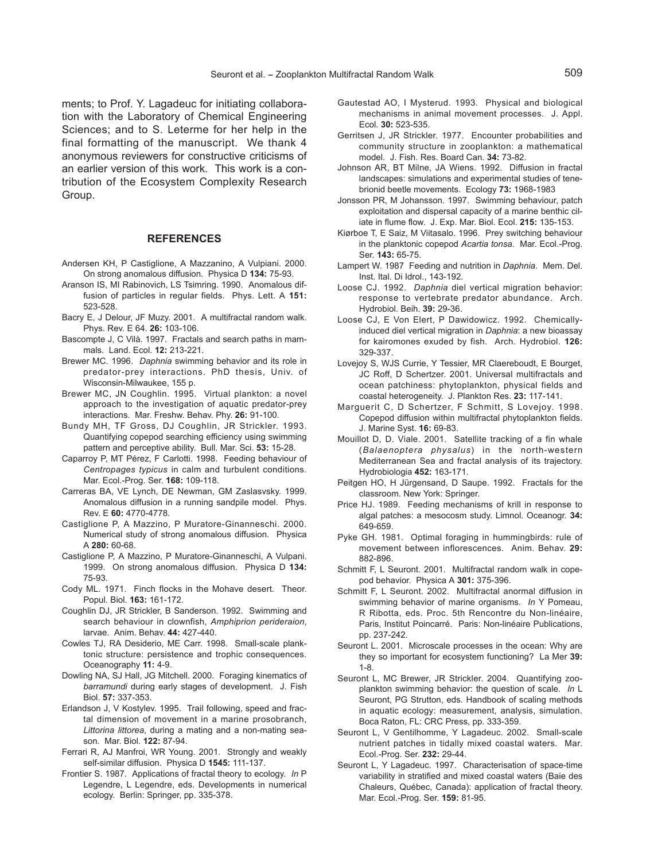ments; to Prof. Y. Lagadeuc for initiating collaboration with the Laboratory of Chemical Engineering Sciences; and to S. Leterme for her help in the final formatting of the manuscript. We thank 4 anonymous reviewers for constructive criticisms of an earlier version of this work. This work is a contribution of the Ecosystem Complexity Research Group.

## **REFERENCES**

- Andersen KH, P Castiglione, A Mazzanino, A Vulpiani. 2000. On strong anomalous diffusion. Physica D **134:** 75-93.
- Aranson IS, MI Rabinovich, LS Tsimring. 1990. Anomalous diffusion of particles in regular fields. Phys. Lett. A **151:** 523-528.
- Bacry E, J Delour, JF Muzy. 2001. A multifractal random walk. Phys. Rev. E 64. **26:** 103-106.
- Bascompte J, C Vilà. 1997. Fractals and search paths in mammals. Land. Ecol. **12:** 213-221.
- Brewer MC. 1996. *Daphnia* swimming behavior and its role in predator-prey interactions. PhD thesis, Univ. of Wisconsin-Milwaukee, 155 p.
- Brewer MC, JN Coughlin. 1995. Virtual plankton: a novel approach to the investigation of aquatic predator-prey interactions. Mar. Freshw. Behav. Phy. **26:** 91-100.
- Bundy MH, TF Gross, DJ Coughlin, JR Strickler. 1993. Quantifying copepod searching efficiency using swimming pattern and perceptive ability. Bull. Mar. Sci. **53:** 15-28.
- Caparroy P, MT Pérez, F Carlotti. 1998. Feeding behaviour of *Centropages typicus* in calm and turbulent conditions. Mar. Ecol.-Prog. Ser. **168:** 109-118.
- Carreras BA, VE Lynch, DE Newman, GM Zaslasvsky. 1999. Anomalous diffusion in a running sandpile model. Phys. Rev. E **60:** 4770-4778.
- Castiglione P, A Mazzino, P Muratore-Ginanneschi. 2000. Numerical study of strong anomalous diffusion. Physica A **280:** 60-68.
- Castiglione P, A Mazzino, P Muratore-Ginanneschi, A Vulpani. 1999. On strong anomalous diffusion. Physica D **134:** 75-93.
- Cody ML. 1971. Finch flocks in the Mohave desert. Theor. Popul. Biol. **163:** 161-172.
- Coughlin DJ, JR Strickler, B Sanderson. 1992. Swimming and search behaviour in clownfish, *Amphiprion perideraion*, larvae. Anim. Behav. **44:** 427-440.
- Cowles TJ, RA Desiderio, ME Carr. 1998. Small-scale planktonic structure: persistence and trophic consequences. Oceanography **11:** 4-9.
- Dowling NA, SJ Hall, JG Mitchell. 2000. Foraging kinematics of *barramundi* during early stages of development. J. Fish Biol. **57:** 337-353.
- Erlandson J, V Kostylev. 1995. Trail following, speed and fractal dimension of movement in a marine prosobranch, *Littorina littorea*, during a mating and a non-mating season. Mar. Biol. **122:** 87-94.
- Ferrari R, AJ Manfroi, WR Young. 2001. Strongly and weakly self-similar diffusion. Physica D **1545:** 111-137.
- Frontier S. 1987. Applications of fractal theory to ecology. *In* P Legendre, L Legendre, eds. Developments in numerical ecology. Berlin: Springer, pp. 335-378.
- Gautestad AO, I Mysterud. 1993. Physical and biological mechanisms in animal movement processes. J. Appl. Ecol. **30:** 523-535.
- Gerritsen J, JR Strickler. 1977. Encounter probabilities and community structure in zooplankton: a mathematical model. J. Fish. Res. Board Can. **34:** 73-82.
- Johnson AR, BT Milne, JA Wiens. 1992. Diffusion in fractal landscapes: simulations and experimental studies of tenebrionid beetle movements. Ecology **73:** 1968-1983
- Jonsson PR, M Johansson. 1997. Swimming behaviour, patch exploitation and dispersal capacity of a marine benthic ciliate in flume flow. J. Exp. Mar. Biol. Ecol. **215:** 135-153.
- Kiørboe T, E Saiz, M Viitasalo. 1996. Prey switching behaviour in the planktonic copepod *Acartia tonsa*. Mar. Ecol.-Prog. Ser. **143:** 65-75.
- Lampert W. 1987 Feeding and nutrition in *Daphnia*. Mem. Del. Inst. Ital. Di Idrol., 143-192.
- Loose CJ. 1992. *Daphnia* diel vertical migration behavior: response to vertebrate predator abundance. Arch. Hydrobiol. Beih. **39:** 29-36.
- Loose CJ, E Von Elert, P Dawidowicz. 1992. Chemicallyinduced diel vertical migration in *Daphnia*: a new bioassay for kairomones exuded by fish. Arch. Hydrobiol. **126:** 329-337.
- Lovejoy S, WJS Currie, Y Tessier, MR Claereboudt, E Bourget, JC Roff, D Schertzer. 2001. Universal multifractals and ocean patchiness: phytoplankton, physical fields and coastal heterogeneity. J. Plankton Res. **23:** 117-141.
- Marguerit C, D Schertzer, F Schmitt, S Lovejoy. 1998. Copepod diffusion within multifractal phytoplankton fields. J. Marine Syst. **16:** 69-83.
- Mouillot D, D. Viale. 2001. Satellite tracking of a fin whale (*Balaenoptera physalus*) in the north-western Mediterranean Sea and fractal analysis of its trajectory. Hydrobiologia **452:** 163-171.
- Peitgen HO, H Jürgensand, D Saupe. 1992. Fractals for the classroom. New York: Springer.
- Price HJ. 1989. Feeding mechanisms of krill in response to algal patches: a mesocosm study. Limnol. Oceanogr. **34:** 649-659.
- Pyke GH. 1981. Optimal foraging in hummingbirds: rule of movement between inflorescences. Anim. Behav. **29:** 882-896.
- Schmitt F, L Seuront. 2001. Multifractal random walk in copepod behavior. Physica A **301:** 375-396.
- Schmitt F, L Seuront. 2002. Multifractal anormal diffusion in swimming behavior of marine organisms. *In* Y Pomeau, R Ribotta, eds. Proc. 5th Rencontre du Non-linéaire, Paris, Institut Poincarré. Paris: Non-linéaire Publications, pp. 237-242.
- Seuront L. 2001. Microscale processes in the ocean: Why are they so important for ecosystem functioning? La Mer **39:** 1-8.
- Seuront L, MC Brewer, JR Strickler. 2004. Quantifying zooplankton swimming behavior: the question of scale. *In* L Seuront, PG Strutton, eds. Handbook of scaling methods in aquatic ecology: measurement, analysis, simulation. Boca Raton, FL: CRC Press, pp. 333-359.
- Seuront L, V Gentilhomme, Y Lagadeuc. 2002. Small-scale nutrient patches in tidally mixed coastal waters. Mar. Ecol.-Prog. Ser. **232:** 29-44.
- Seuront L, Y Lagadeuc. 1997. Characterisation of space-time variability in stratified and mixed coastal waters (Baie des Chaleurs, Québec, Canada): application of fractal theory. Mar. Ecol.-Prog. Ser. **159:** 81-95.